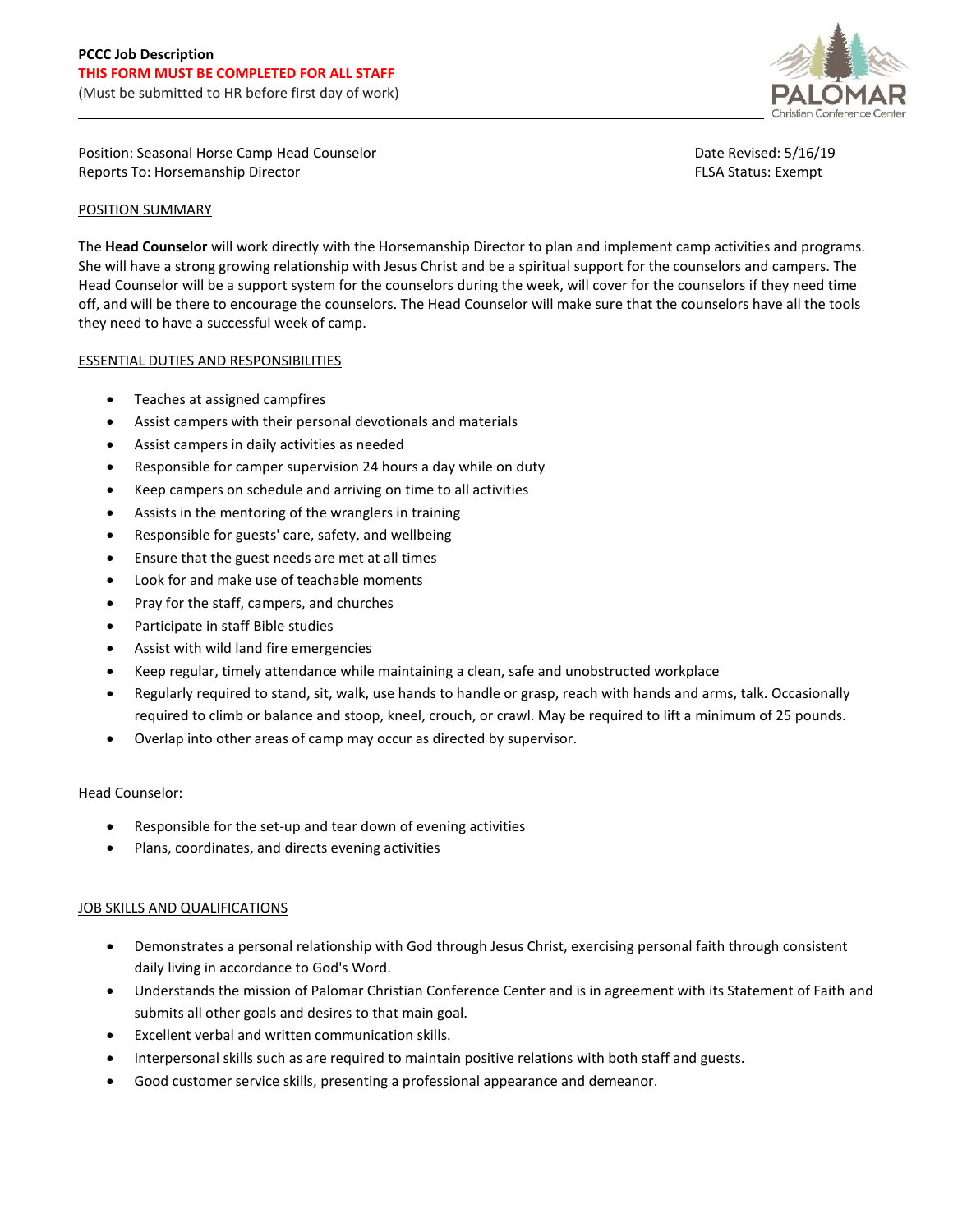

Position: Seasonal Horse Camp Head Counselor Reports To: Horsemanship Director

Date Revised: 5/16/19 FLSA Status: Exempt

## POSITION SUMMARY

The **Head Counselor** will work directly with the Horsemanship Director to plan and implement camp activities and programs. She will have a strong growing relationship with Jesus Christ and be a spiritual support for the counselors and campers. The Head Counselor will be a support system for the counselors during the week, will cover for the counselors if they need time off, and will be there to encourage the counselors. The Head Counselor will make sure that the counselors have all the tools they need to have a successful week of camp.

## ESSENTIAL DUTIES AND RESPONSIBILITIES

- Teaches at assigned campfires
- Assist campers with their personal devotionals and materials
- Assist campers in daily activities as needed
- Responsible for camper supervision 24 hours a day while on duty
- Keep campers on schedule and arriving on time to all activities
- Assists in the mentoring of the wranglers in training
- Responsible for guests' care, safety, and wellbeing
- Ensure that the guest needs are met at all times
- Look for and make use of teachable moments
- Pray for the staff, campers, and churches
- Participate in staff Bible studies
- Assist with wild land fire emergencies
- Keep regular, timely attendance while maintaining a clean, safe and unobstructed workplace
- Regularly required to stand, sit, walk, use hands to handle or grasp, reach with hands and arms, talk. Occasionally required to climb or balance and stoop, kneel, crouch, or crawl. May be required to lift a minimum of 25 pounds.
- Overlap into other areas of camp may occur as directed by supervisor.

#### Head Counselor:

- Responsible for the set-up and tear down of evening activities
- Plans, coordinates, and directs evening activities

# JOB SKILLS AND QUALIFICATIONS

- Demonstrates a personal relationship with God through Jesus Christ, exercising personal faith through consistent daily living in accordance to God's Word.
- Understands the mission of Palomar Christian Conference Center and is in agreement with its Statement of Faith and submits all other goals and desires to that main goal.
- Excellent verbal and written communication skills.
- Interpersonal skills such as are required to maintain positive relations with both staff and guests.
- Good customer service skills, presenting a professional appearance and demeanor.